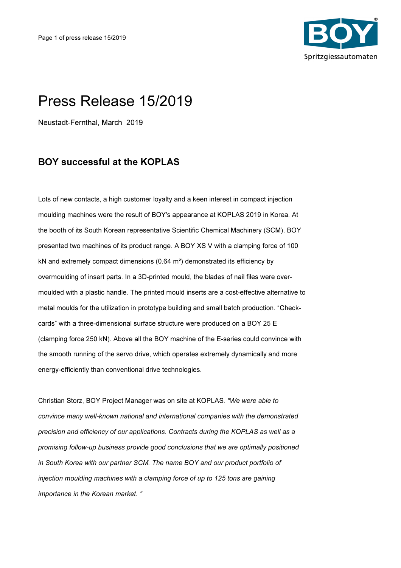

## Press Release 15/2019

Neustadt-Fernthal, March 2019

## BOY successful at the KOPLAS

Lots of new contacts, a high customer loyalty and a keen interest in compact injection moulding machines were the result of BOY's appearance at KOPLAS 2019 in Korea. At the booth of its South Korean representative Scientific Chemical Machinery (SCM), BOY presented two machines of its product range. A BOY XS V with a clamping force of 100 kN and extremely compact dimensions (0.64 m²) demonstrated its efficiency by overmoulding of insert parts. In a 3D-printed mould, the blades of nail files were overmoulded with a plastic handle. The printed mould inserts are a cost-effective alternative to metal moulds for the utilization in prototype building and small batch production. "Checkcards" with a three-dimensional surface structure were produced on a BOY 25 E (clamping force 250 kN). Above all the BOY machine of the E-series could convince with the smooth running of the servo drive, which operates extremely dynamically and more energy-efficiently than conventional drive technologies.

Christian Storz, BOY Project Manager was on site at KOPLAS. "We were able to convince many well-known national and international companies with the demonstrated precision and efficiency of our applications. Contracts during the KOPLAS as well as a promising follow-up business provide good conclusions that we are optimally positioned in South Korea with our partner SCM. The name BOY and our product portfolio of injection moulding machines with a clamping force of up to 125 tons are gaining importance in the Korean market. "